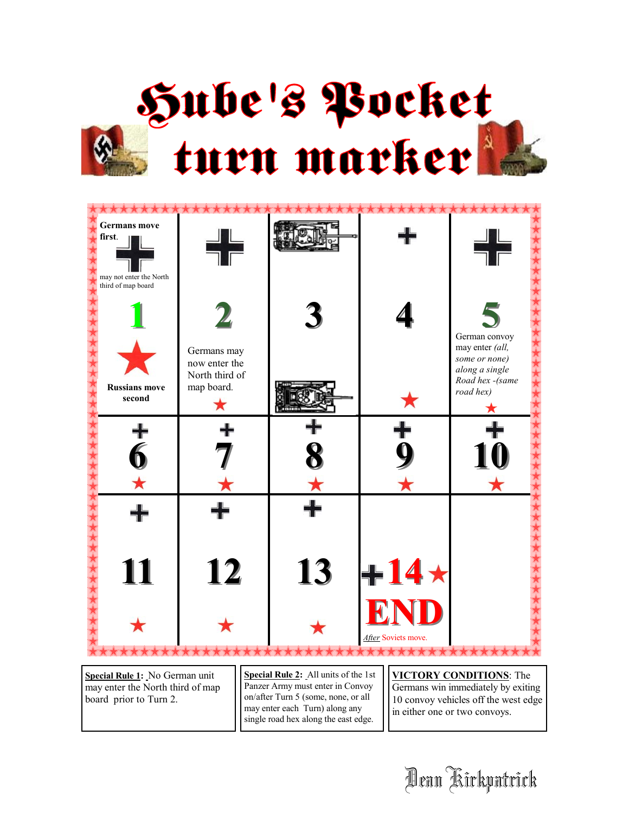

| $\mathbf{Z}$<br>Germans may<br>now enter the<br>North third of<br>map board. |    |     | 5<br>German convoy<br>may enter (all,<br>some or none)<br>along a single<br>Road hex -(same<br>road hex) |
|------------------------------------------------------------------------------|----|-----|----------------------------------------------------------------------------------------------------------|
|                                                                              |    |     |                                                                                                          |
|                                                                              |    |     |                                                                                                          |
| 12                                                                           | 13 | END |                                                                                                          |
|                                                                              |    |     | $+14 \star$<br>After Soviets move.                                                                       |

**Special Rule 1:** No German unit may enter the North third of map board prior to Turn 2.

**Special Rule 2:** All units of the 1st Panzer Army must enter in Convoy on/after Turn 5 (some, none, or all may enter each Turn) along any single road hex along the east edge.

**VICTORY CONDITIONS**: The

Germans win immediately by exiting 10 convoy vehicles off the west edge in either one or two convoys.

Dean Kirkpatrick